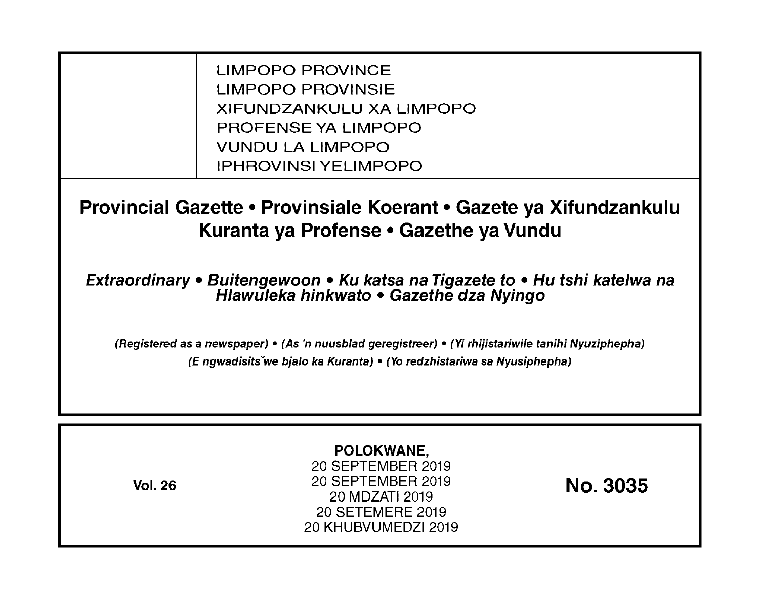LIMPOPO PROVINCE LIMPOPO PROVINSIE XIFUNDZANKULU XA LIMPOPO PROFENSE YA LIMPOPO VUNDU LA LIMPOPO IPHROVINSI YELIMPOPO

**Provincial Gazette • Provinsiale Koerant • Gazete ya Xifundzankulu Kuranta ya Profense • Gazethe ya Vundu** 

**Extraordinary • Buitengewoon • Ku katsa na Tigazete to • Hu tshi katelwa na Hlawuleka hinkwato • Gazethe dza Nyingo** 

(Registered as a newspaper) • (As 'n nuusblad geregistreer) • (Yi rhijistariwile tanihi Nyuziphepha) (E ngwadisitsVwe bjalo ka Kuranta) • (Yo redzhistariwa sa Nyusiphepha)

| Vol. 26 | POLOKWANE,<br>20 SEPTEMBER 2019<br>20 SEPTEMBER 2019<br>20 MDZATI 2019<br>20 SETEMERE 2019<br>20 KHUBVUMEDZI 2019 | <b>No. 3035</b> |
|---------|-------------------------------------------------------------------------------------------------------------------|-----------------|
|---------|-------------------------------------------------------------------------------------------------------------------|-----------------|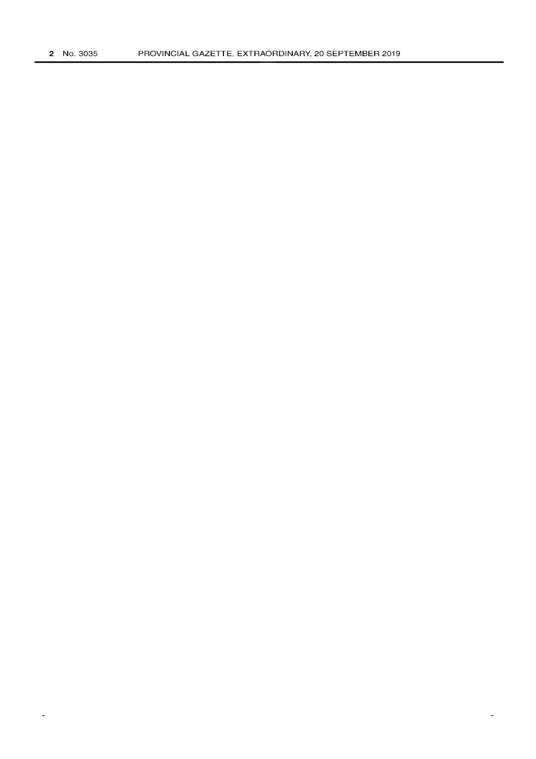$\bar{\mathbf{z}}$ 

 $\overline{\phantom{a}}$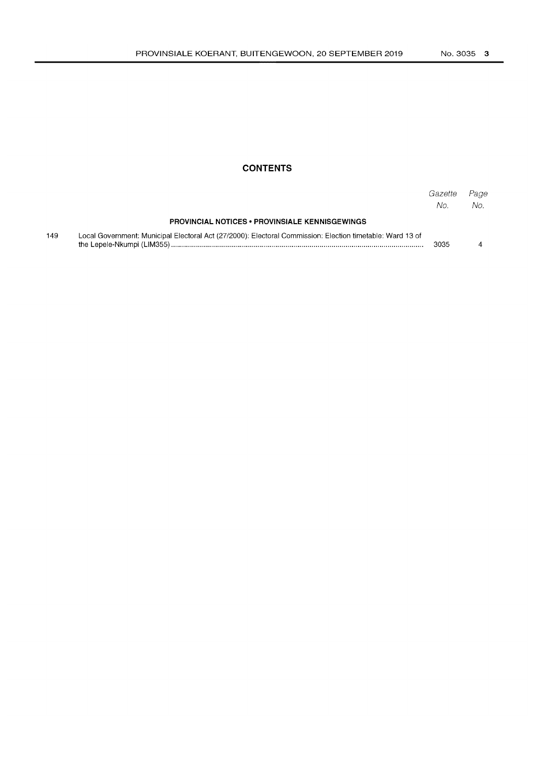### **CONTENTS**

|     |                                                                                                           | Gazette<br>No. | Page<br>No. |
|-----|-----------------------------------------------------------------------------------------------------------|----------------|-------------|
|     | <b>PROVINCIAL NOTICES • PROVINSIALE KENNISGEWINGS</b>                                                     |                |             |
| 149 | Local Government: Municipal Electoral Act (27/2000): Electoral Commission: Election timetable: Ward 13 of | 3035           |             |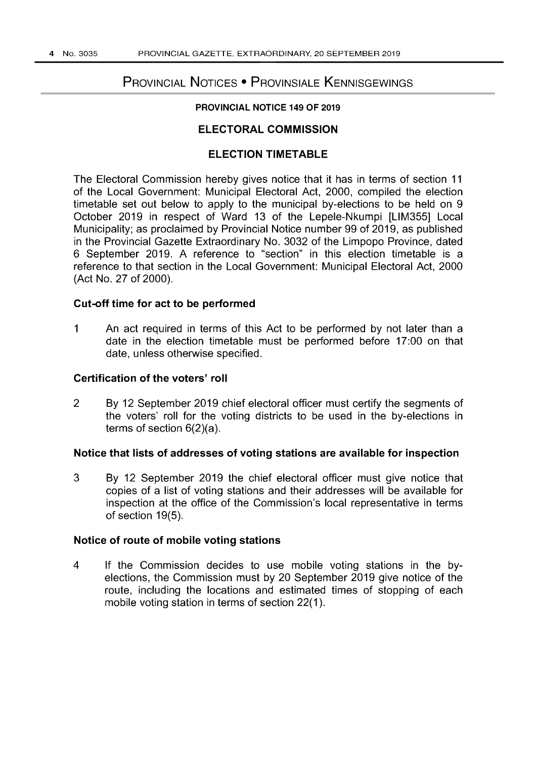# PROVINCIAL NOTICES • PROVINSIALE KENNISGEWINGS

### PROVINCIAL NOTICE 149 OF 2019

### ELECTORAL COMMISSION

## ELECTION TIMETABLE

The Electoral Commission hereby gives notice that it has in terms of section 11 of the Local Government: Municipal Electoral Act, 2000, compiled the election timetable set out below to apply to the municipal by-elections to be held on 9 October 2019 in respect of Ward 13 of the Lepele-Nkumpi [LlM355] Local Municipality; as proclaimed by Provincial Notice number 99 of 2019, as published in the Provincial Gazette Extraordinary No. 3032 of the Limpopo Province, dated 6 September 2019. A reference to "section" in this election timetable is a reference to that section in the Local Government: Municipal Electoral Act, 2000 (Act No. 27 of 2000).

### Cut-off time for act to be performed

1 An act required in terms of this Act to be performed by not later than a date in the election timetable must be performed before 17:00 on that date, unless otherwise specified.

### Certification of the voters' roll

2 By 12 September 2019 chief electoral officer must certify the segments of the voters' roll for the voting districts to be used in the by-elections in terms of section 6(2)(a).

#### Notice that lists of addresses of voting stations are available for inspection

3 By 12 September 2019 the chief electoral officer must give notice that copies of a list of voting stations and their addresses will be available for inspection at the office of the Commission's local representative in terms of section 19(5).

### Notice of route of mobile voting stations

4 If the Commission decides to use mobile voting stations in the byelections, the Commission must by 20 September 2019 give notice of the route, including the locations and estimated times of stopping of each mobile voting station in terms of section 22(1).